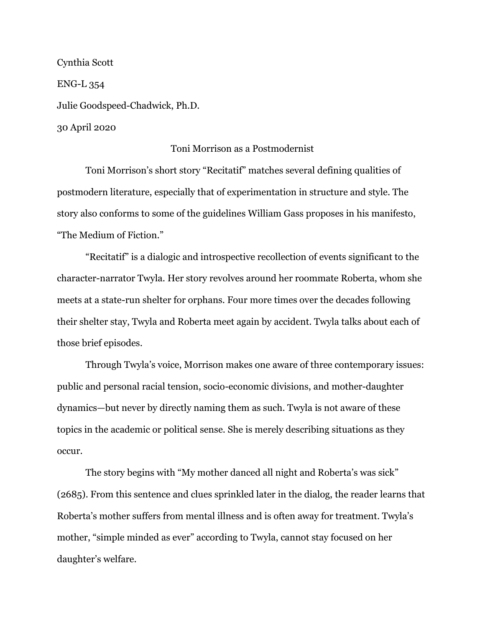Cynthia Scott ENG-L 354 Julie Goodspeed-Chadwick, Ph.D. 30 April 2020

## Toni Morrison as a Postmodernist

Toni Morrison's short story "Recitatif" matches several defining qualities of postmodern literature, especially that of experimentation in structure and style. The story also conforms to some of the guidelines William Gass proposes in his manifesto, "The Medium of Fiction."

"Recitatif" is a dialogic and introspective recollection of events significant to the character-narrator Twyla. Her story revolves around her roommate Roberta, whom she meets at a state-run shelter for orphans. Four more times over the decades following their shelter stay, Twyla and Roberta meet again by accident. Twyla talks about each of those brief episodes.

Through Twyla's voice, Morrison makes one aware of three contemporary issues: public and personal racial tension, socio-economic divisions, and mother-daughter dynamics—but never by directly naming them as such. Twyla is not aware of these topics in the academic or political sense. She is merely describing situations as they occur.

The story begins with "My mother danced all night and Roberta's was sick" (2685). From this sentence and clues sprinkled later in the dialog, the reader learns that Roberta's mother suffers from mental illness and is often away for treatment. Twyla's mother, "simple minded as ever" according to Twyla, cannot stay focused on her daughter's welfare.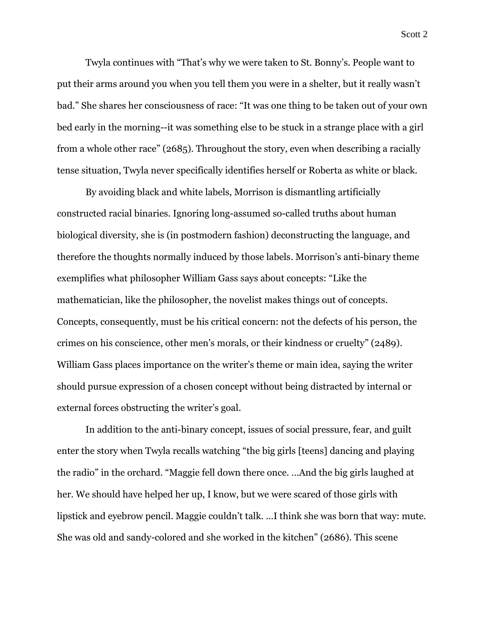Twyla continues with "That's why we were taken to St. Bonny's. People want to put their arms around you when you tell them you were in a shelter, but it really wasn't bad." She shares her consciousness of race: "It was one thing to be taken out of your own bed early in the morning--it was something else to be stuck in a strange place with a girl from a whole other race" (2685). Throughout the story, even when describing a racially tense situation, Twyla never specifically identifies herself or Roberta as white or black.

By avoiding black and white labels, Morrison is dismantling artificially constructed racial binaries. Ignoring long-assumed so-called truths about human biological diversity, she is (in postmodern fashion) deconstructing the language, and therefore the thoughts normally induced by those labels. Morrison's anti-binary theme exemplifies what philosopher William Gass says about concepts: "Like the mathematician, like the philosopher, the novelist makes things out of concepts. Concepts, consequently, must be his critical concern: not the defects of his person, the crimes on his conscience, other men's morals, or their kindness or cruelty" (2489). William Gass places importance on the writer's theme or main idea, saying the writer should pursue expression of a chosen concept without being distracted by internal or external forces obstructing the writer's goal.

In addition to the anti-binary concept, issues of social pressure, fear, and guilt enter the story when Twyla recalls watching "the big girls [teens] dancing and playing the radio" in the orchard. "Maggie fell down there once. …And the big girls laughed at her. We should have helped her up, I know, but we were scared of those girls with lipstick and eyebrow pencil. Maggie couldn't talk. ...I think she was born that way: mute. She was old and sandy-colored and she worked in the kitchen" (2686). This scene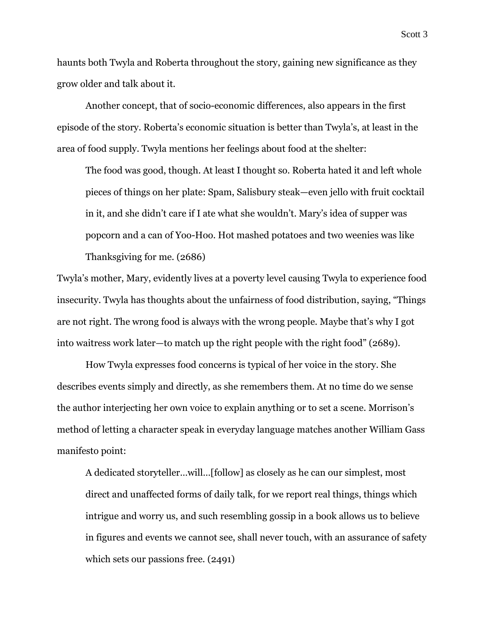haunts both Twyla and Roberta throughout the story, gaining new significance as they grow older and talk about it.

Another concept, that of socio-economic differences, also appears in the first episode of the story. Roberta's economic situation is better than Twyla's, at least in the area of food supply. Twyla mentions her feelings about food at the shelter:

The food was good, though. At least I thought so. Roberta hated it and left whole pieces of things on her plate: Spam, Salisbury steak—even jello with fruit cocktail in it, and she didn't care if I ate what she wouldn't. Mary's idea of supper was popcorn and a can of Yoo-Hoo. Hot mashed potatoes and two weenies was like Thanksgiving for me. (2686)

Twyla's mother, Mary, evidently lives at a poverty level causing Twyla to experience food insecurity. Twyla has thoughts about the unfairness of food distribution, saying, "Things are not right. The wrong food is always with the wrong people. Maybe that's why I got into waitress work later—to match up the right people with the right food" (2689).

How Twyla expresses food concerns is typical of her voice in the story. She describes events simply and directly, as she remembers them. At no time do we sense the author interjecting her own voice to explain anything or to set a scene. Morrison's method of letting a character speak in everyday language matches another William Gass manifesto point:

A dedicated storyteller…will…[follow] as closely as he can our simplest, most direct and unaffected forms of daily talk, for we report real things, things which intrigue and worry us, and such resembling gossip in a book allows us to believe in figures and events we cannot see, shall never touch, with an assurance of safety which sets our passions free.  $(2491)$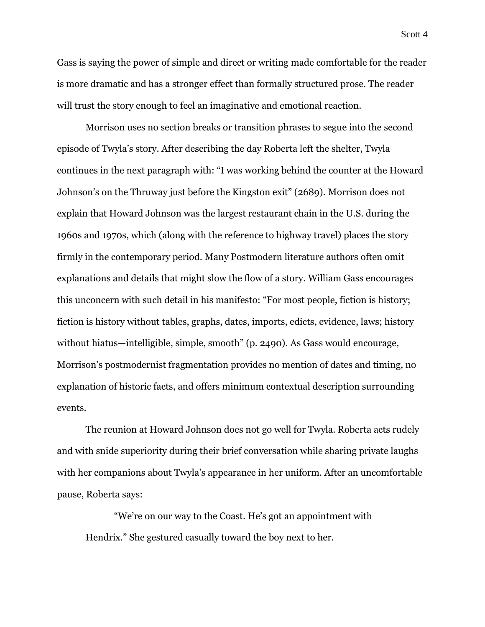Gass is saying the power of simple and direct or writing made comfortable for the reader is more dramatic and has a stronger effect than formally structured prose. The reader will trust the story enough to feel an imaginative and emotional reaction.

Morrison uses no section breaks or transition phrases to segue into the second episode of Twyla's story. After describing the day Roberta left the shelter, Twyla continues in the next paragraph with: "I was working behind the counter at the Howard Johnson's on the Thruway just before the Kingston exit" (2689). Morrison does not explain that Howard Johnson was the largest restaurant chain in the U.S. during the 1960s and 1970s, which (along with the reference to highway travel) places the story firmly in the contemporary period. Many Postmodern literature authors often omit explanations and details that might slow the flow of a story. William Gass encourages this unconcern with such detail in his manifesto: "For most people, fiction is history; fiction is history without tables, graphs, dates, imports, edicts, evidence, laws; history without hiatus—intelligible, simple, smooth" (p. 2490). As Gass would encourage, Morrison's postmodernist fragmentation provides no mention of dates and timing, no explanation of historic facts, and offers minimum contextual description surrounding events.

The reunion at Howard Johnson does not go well for Twyla. Roberta acts rudely and with snide superiority during their brief conversation while sharing private laughs with her companions about Twyla's appearance in her uniform. After an uncomfortable pause, Roberta says:

"We're on our way to the Coast. He's got an appointment with Hendrix." She gestured casually toward the boy next to her.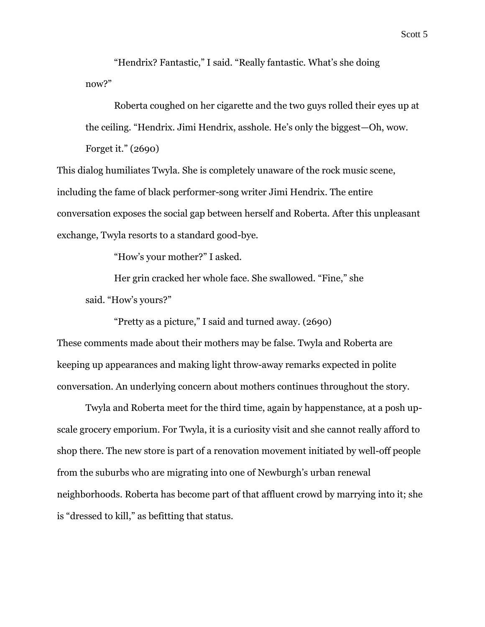"Hendrix? Fantastic," I said. "Really fantastic. What's she doing now?"

Roberta coughed on her cigarette and the two guys rolled their eyes up at the ceiling. "Hendrix. Jimi Hendrix, asshole. He's only the biggest—Oh, wow. Forget it." (2690)

This dialog humiliates Twyla. She is completely unaware of the rock music scene, including the fame of black performer-song writer Jimi Hendrix. The entire conversation exposes the social gap between herself and Roberta. After this unpleasant exchange, Twyla resorts to a standard good-bye.

"How's your mother?" I asked.

Her grin cracked her whole face. She swallowed. "Fine," she said. "How's yours?"

"Pretty as a picture," I said and turned away. (2690)

These comments made about their mothers may be false. Twyla and Roberta are keeping up appearances and making light throw-away remarks expected in polite conversation. An underlying concern about mothers continues throughout the story.

Twyla and Roberta meet for the third time, again by happenstance, at a posh upscale grocery emporium. For Twyla, it is a curiosity visit and she cannot really afford to shop there. The new store is part of a renovation movement initiated by well-off people from the suburbs who are migrating into one of Newburgh's urban renewal neighborhoods. Roberta has become part of that affluent crowd by marrying into it; she is "dressed to kill," as befitting that status.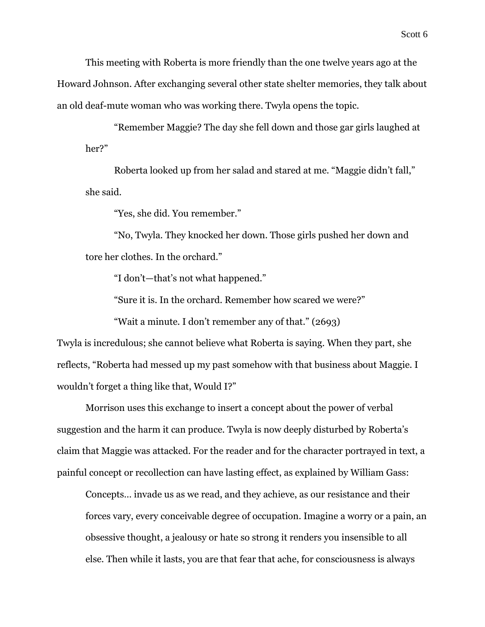This meeting with Roberta is more friendly than the one twelve years ago at the Howard Johnson. After exchanging several other state shelter memories, they talk about an old deaf-mute woman who was working there. Twyla opens the topic.

"Remember Maggie? The day she fell down and those gar girls laughed at her?"

Roberta looked up from her salad and stared at me. "Maggie didn't fall," she said.

"Yes, she did. You remember."

"No, Twyla. They knocked her down. Those girls pushed her down and tore her clothes. In the orchard."

"I don't—that's not what happened."

"Sure it is. In the orchard. Remember how scared we were?"

"Wait a minute. I don't remember any of that." (2693)

Twyla is incredulous; she cannot believe what Roberta is saying. When they part, she reflects, "Roberta had messed up my past somehow with that business about Maggie. I wouldn't forget a thing like that, Would I?"

Morrison uses this exchange to insert a concept about the power of verbal suggestion and the harm it can produce. Twyla is now deeply disturbed by Roberta's claim that Maggie was attacked. For the reader and for the character portrayed in text, a painful concept or recollection can have lasting effect, as explained by William Gass:

Concepts… invade us as we read, and they achieve, as our resistance and their forces vary, every conceivable degree of occupation. Imagine a worry or a pain, an obsessive thought, a jealousy or hate so strong it renders you insensible to all else. Then while it lasts, you are that fear that ache, for consciousness is always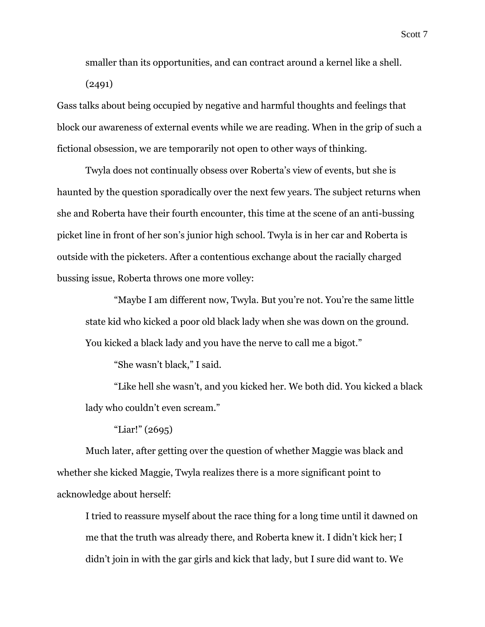smaller than its opportunities, and can contract around a kernel like a shell. (2491)

Gass talks about being occupied by negative and harmful thoughts and feelings that block our awareness of external events while we are reading. When in the grip of such a fictional obsession, we are temporarily not open to other ways of thinking.

Twyla does not continually obsess over Roberta's view of events, but she is haunted by the question sporadically over the next few years. The subject returns when she and Roberta have their fourth encounter, this time at the scene of an anti-bussing picket line in front of her son's junior high school. Twyla is in her car and Roberta is outside with the picketers. After a contentious exchange about the racially charged bussing issue, Roberta throws one more volley:

"Maybe I am different now, Twyla. But you're not. You're the same little state kid who kicked a poor old black lady when she was down on the ground. You kicked a black lady and you have the nerve to call me a bigot."

"She wasn't black," I said.

"Like hell she wasn't, and you kicked her. We both did. You kicked a black lady who couldn't even scream."

"Liar!" (2695)

Much later, after getting over the question of whether Maggie was black and whether she kicked Maggie, Twyla realizes there is a more significant point to acknowledge about herself:

I tried to reassure myself about the race thing for a long time until it dawned on me that the truth was already there, and Roberta knew it. I didn't kick her; I didn't join in with the gar girls and kick that lady, but I sure did want to. We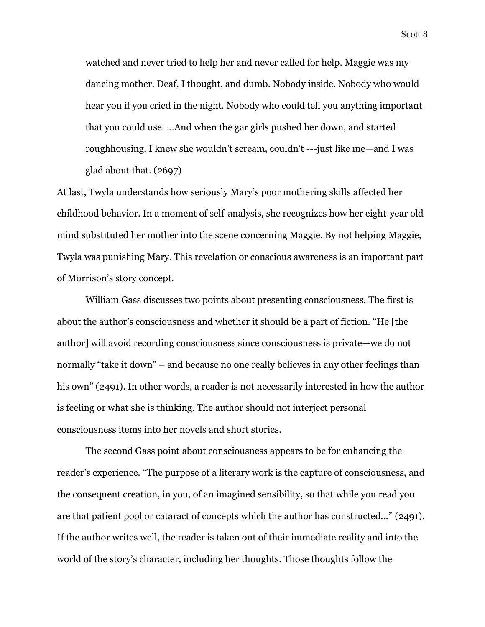Scott 8

watched and never tried to help her and never called for help. Maggie was my dancing mother. Deaf, I thought, and dumb. Nobody inside. Nobody who would hear you if you cried in the night. Nobody who could tell you anything important that you could use. …And when the gar girls pushed her down, and started roughhousing, I knew she wouldn't scream, couldn't ---just like me—and I was glad about that. (2697)

At last, Twyla understands how seriously Mary's poor mothering skills affected her childhood behavior. In a moment of self-analysis, she recognizes how her eight-year old mind substituted her mother into the scene concerning Maggie. By not helping Maggie, Twyla was punishing Mary. This revelation or conscious awareness is an important part of Morrison's story concept.

William Gass discusses two points about presenting consciousness. The first is about the author's consciousness and whether it should be a part of fiction. "He [the author] will avoid recording consciousness since consciousness is private—we do not normally "take it down" – and because no one really believes in any other feelings than his own" (2491). In other words, a reader is not necessarily interested in how the author is feeling or what she is thinking. The author should not interject personal consciousness items into her novels and short stories.

The second Gass point about consciousness appears to be for enhancing the reader's experience. "The purpose of a literary work is the capture of consciousness, and the consequent creation, in you, of an imagined sensibility, so that while you read you are that patient pool or cataract of concepts which the author has constructed…" (2491). If the author writes well, the reader is taken out of their immediate reality and into the world of the story's character, including her thoughts. Those thoughts follow the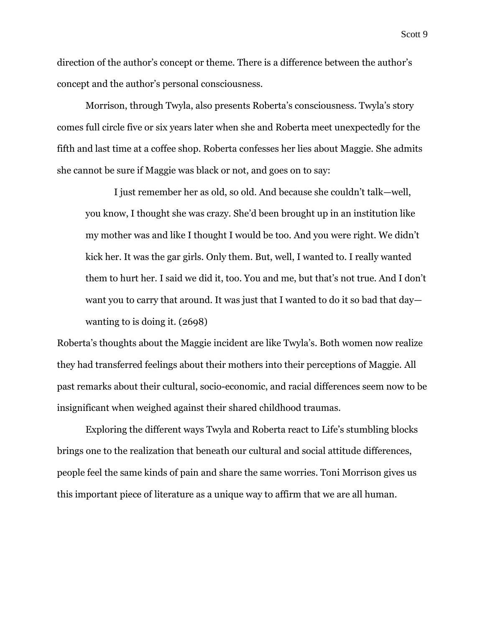direction of the author's concept or theme. There is a difference between the author's concept and the author's personal consciousness.

Morrison, through Twyla, also presents Roberta's consciousness. Twyla's story comes full circle five or six years later when she and Roberta meet unexpectedly for the fifth and last time at a coffee shop. Roberta confesses her lies about Maggie. She admits she cannot be sure if Maggie was black or not, and goes on to say:

I just remember her as old, so old. And because she couldn't talk—well, you know, I thought she was crazy. She'd been brought up in an institution like my mother was and like I thought I would be too. And you were right. We didn't kick her. It was the gar girls. Only them. But, well, I wanted to. I really wanted them to hurt her. I said we did it, too. You and me, but that's not true. And I don't want you to carry that around. It was just that I wanted to do it so bad that day wanting to is doing it. (2698)

Roberta's thoughts about the Maggie incident are like Twyla's. Both women now realize they had transferred feelings about their mothers into their perceptions of Maggie. All past remarks about their cultural, socio-economic, and racial differences seem now to be insignificant when weighed against their shared childhood traumas.

Exploring the different ways Twyla and Roberta react to Life's stumbling blocks brings one to the realization that beneath our cultural and social attitude differences, people feel the same kinds of pain and share the same worries. Toni Morrison gives us this important piece of literature as a unique way to affirm that we are all human.